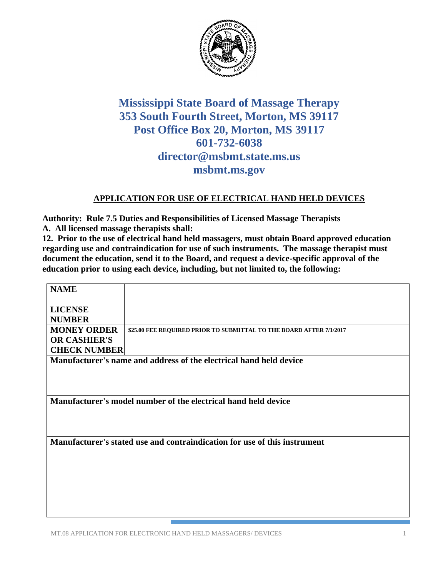

## **Mississippi State Board of Massage Therapy 353 South Fourth Street, Morton, MS 39117 Post Office Box 20, Morton, MS 39117 601-732-6038 director@msbmt.state.ms.us msbmt.ms.gov**

## **APPLICATION FOR USE OF ELECTRICAL HAND HELD DEVICES**

**Authority: Rule 7.5 Duties and Responsibilities of Licensed Massage Therapists A. All licensed massage therapists shall:**

**12. Prior to the use of electrical hand held massagers, must obtain Board approved education regarding use and contraindication for use of such instruments. The massage therapist must document the education, send it to the Board, and request a device-specific approval of the education prior to using each device, including, but not limited to, the following:** 

| <b>NAME</b>                                                               |                                                                     |
|---------------------------------------------------------------------------|---------------------------------------------------------------------|
| <b>LICENSE</b>                                                            |                                                                     |
| <b>NUMBER</b>                                                             |                                                                     |
| <b>MONEY ORDER</b>                                                        | \$25.00 FEE REQUIRED PRIOR TO SUBMITTAL TO THE BOARD AFTER 7/1/2017 |
| <b>OR CASHIER'S</b>                                                       |                                                                     |
| <b>CHECK NUMBER</b>                                                       |                                                                     |
| Manufacturer's name and address of the electrical hand held device        |                                                                     |
|                                                                           |                                                                     |
|                                                                           |                                                                     |
| Manufacturer's model number of the electrical hand held device            |                                                                     |
| Manufacturer's stated use and contraindication for use of this instrument |                                                                     |
|                                                                           |                                                                     |
|                                                                           |                                                                     |
|                                                                           |                                                                     |
|                                                                           |                                                                     |
|                                                                           |                                                                     |
|                                                                           |                                                                     |